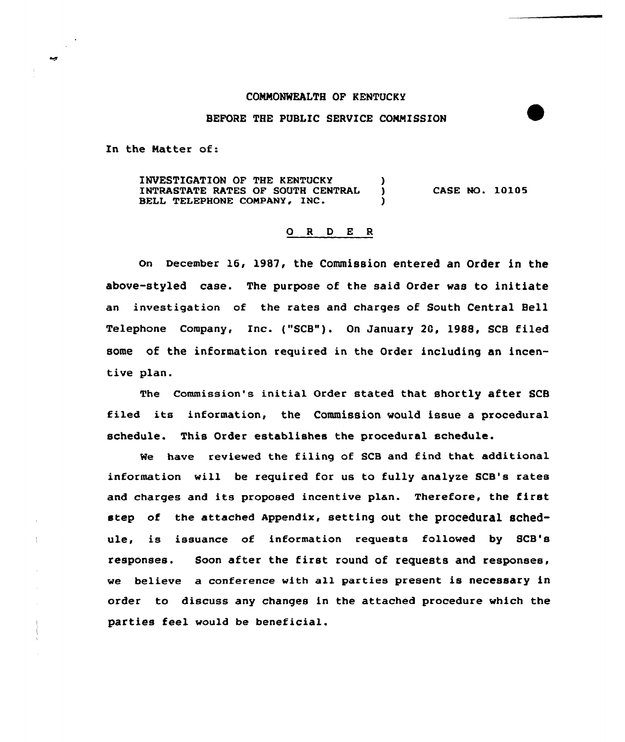#### COMMONWEALTH OF KENTUCKY

# BEFORE THE PUBLIC SERVICE COMMISSION

In the Natter of:

INVESTIGATION OF THE KENTUCKY (1995)<br>INTRASTATE RATES OF SOUTH CENTRAL (1995) INTRASTATE RATES OF SOUTH CENTRAL BELL TELEPHONE COMPANY, INC. CASE NO. 10105

### 0 <sup>R</sup> <sup>D</sup> E <sup>R</sup>

on December 16< 1987, the Commission entered an Order in the above-styled case. The purpose of the said Order was to initiate an investigation of the rates and charges of South Central Bell Telephone Company, Inc. ("SCB"). On January 2G, 1988, SCB filed some of the information required in the Order including an incentive plan.

The Commission's initial Order stated that shortly after SCB filed its information, the Commission would issue a procedural schedule. This Order establishes the procedural schedule.

Me have reviewed the filing of SCB and find that additional information will be required for us to fully analyze SCB's rates and charges and its proposed incentive plan. Therefore, the first step of the attached Appendix, setting out the procedural schedule, is issuance of information requests followed by SCB's responses. Soon after the first round of requests and responses, we believe a conference with all parties present is necessary in order to discuss any changes in the attached procedure which the parties feel would be beneficial.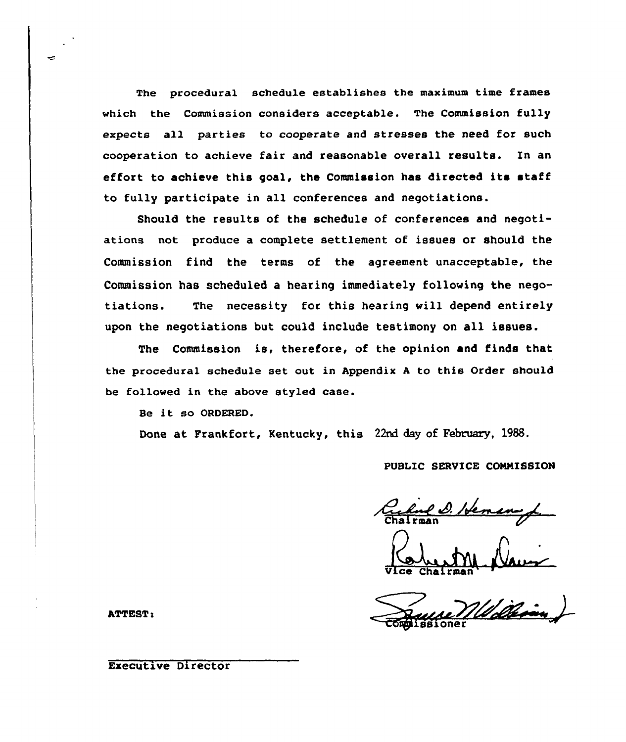The procedural schedule establishes the maximum time frames which the Commission considers acceptable. The Commission fully expects all parties to cooperate and stresses the need for such cooperation to achieve fair and reasonable overall results. In an effort to achieve this goal, the Commission has directed its staff to fully participate in all conferences and negotiations.

Should the results of the schedule of conferences and negotiations not produce a complete settlement of issues or should the Commission find the terms of the agreement unacceptable, the Commission has scheduled a hearing immediately following the negotiations. The necessity for this hearing will depend entirely upon the negotiations but could include testimony on all issues.

The Commission is, therefore, of the opinion and finds that the procedural schedule set out in Appendix <sup>A</sup> to this Order should be followed in the above styled case.

Be it so ORDERED.

Done at Frankfort, Kentucky, this 22nd day of February, 1988.

# PUBLIC SERVICE COMMISSION

Richard D. Hemany

Vice

**ATTEST:** 

## Executive Director